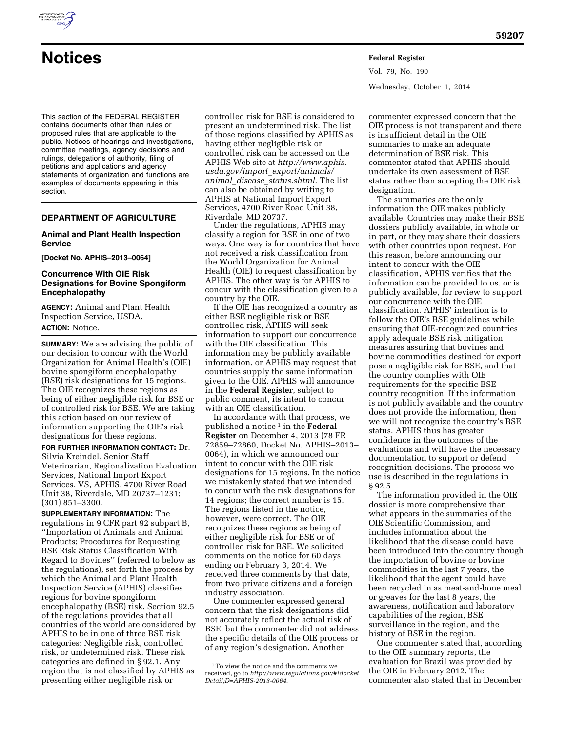

Vol. 79, No. 190 Wednesday, October 1, 2014

This section of the FEDERAL REGISTER contains documents other than rules or proposed rules that are applicable to the public. Notices of hearings and investigations, committee meetings, agency decisions and rulings, delegations of authority, filing of petitions and applications and agency statements of organization and functions are examples of documents appearing in this section.

# **DEPARTMENT OF AGRICULTURE**

## **Animal and Plant Health Inspection Service**

**[Docket No. APHIS–2013–0064]** 

## **Concurrence With OIE Risk Designations for Bovine Spongiform Encephalopathy**

**AGENCY:** Animal and Plant Health Inspection Service, USDA. **ACTION:** Notice.

**SUMMARY:** We are advising the public of our decision to concur with the World Organization for Animal Health's (OIE) bovine spongiform encephalopathy (BSE) risk designations for 15 regions. The OIE recognizes these regions as being of either negligible risk for BSE or of controlled risk for BSE. We are taking this action based on our review of information supporting the OIE's risk designations for these regions.

**FOR FURTHER INFORMATION CONTACT:** Dr. Silvia Kreindel, Senior Staff Veterinarian, Regionalization Evaluation Services, National Import Export Services, VS, APHIS, 4700 River Road Unit 38, Riverdale, MD 20737–1231; (301) 851–3300.

**SUPPLEMENTARY INFORMATION:** The regulations in 9 CFR part 92 subpart B, ''Importation of Animals and Animal Products; Procedures for Requesting BSE Risk Status Classification With Regard to Bovines'' (referred to below as the regulations), set forth the process by which the Animal and Plant Health Inspection Service (APHIS) classifies regions for bovine spongiform encephalopathy (BSE) risk. Section 92.5 of the regulations provides that all countries of the world are considered by APHIS to be in one of three BSE risk categories: Negligible risk, controlled risk, or undetermined risk. These risk categories are defined in § 92.1. Any region that is not classified by APHIS as presenting either negligible risk or

controlled risk for BSE is considered to present an undetermined risk. The list of those regions classified by APHIS as having either negligible risk or controlled risk can be accessed on the APHIS Web site at *http://www.aphis. usda.gov/import*\_*export/animals/ animal*\_*disease*\_*status.shtml*. The list can also be obtained by writing to APHIS at National Import Export Services, 4700 River Road Unit 38, Riverdale, MD 20737.

Under the regulations, APHIS may classify a region for BSE in one of two ways. One way is for countries that have not received a risk classification from the World Organization for Animal Health (OIE) to request classification by APHIS. The other way is for APHIS to concur with the classification given to a country by the OIE.

If the OIE has recognized a country as either BSE negligible risk or BSE controlled risk, APHIS will seek information to support our concurrence with the OIE classification. This information may be publicly available information, or APHIS may request that countries supply the same information given to the OIE. APHIS will announce in the **Federal Register**, subject to public comment, its intent to concur with an OIE classification.

In accordance with that process, we published a notice 1 in the **Federal Register** on December 4, 2013 (78 FR 72859–72860, Docket No. APHIS–2013– 0064), in which we announced our intent to concur with the OIE risk designations for 15 regions. In the notice we mistakenly stated that we intended to concur with the risk designations for 14 regions; the correct number is 15. The regions listed in the notice, however, were correct. The OIE recognizes these regions as being of either negligible risk for BSE or of controlled risk for BSE. We solicited comments on the notice for 60 days ending on February 3, 2014. We received three comments by that date, from two private citizens and a foreign industry association.

One commenter expressed general concern that the risk designations did not accurately reflect the actual risk of BSE, but the commenter did not address the specific details of the OIE process or of any region's designation. Another

commenter expressed concern that the OIE process is not transparent and there is insufficient detail in the OIE summaries to make an adequate determination of BSE risk. This commenter stated that APHIS should undertake its own assessment of BSE status rather than accepting the OIE risk designation.

The summaries are the only information the OIE makes publicly available. Countries may make their BSE dossiers publicly available, in whole or in part, or they may share their dossiers with other countries upon request. For this reason, before announcing our intent to concur with the OIE classification, APHIS verifies that the information can be provided to us, or is publicly available, for review to support our concurrence with the OIE classification. APHIS' intention is to follow the OIE's BSE guidelines while ensuring that OIE-recognized countries apply adequate BSE risk mitigation measures assuring that bovines and bovine commodities destined for export pose a negligible risk for BSE, and that the country complies with OIE requirements for the specific BSE country recognition. If the information is not publicly available and the country does not provide the information, then we will not recognize the country's BSE status. APHIS thus has greater confidence in the outcomes of the evaluations and will have the necessary documentation to support or defend recognition decisions. The process we use is described in the regulations in § 92.5.

The information provided in the OIE dossier is more comprehensive than what appears in the summaries of the OIE Scientific Commission, and includes information about the likelihood that the disease could have been introduced into the country though the importation of bovine or bovine commodities in the last 7 years, the likelihood that the agent could have been recycled in as meat-and-bone meal or greaves for the last 8 years, the awareness, notification and laboratory capabilities of the region, BSE surveillance in the region, and the history of BSE in the region.

One commenter stated that, according to the OIE summary reports, the evaluation for Brazil was provided by the OIE in February 2012. The commenter also stated that in December

<sup>1</sup>To view the notice and the comments we received, go to *http://www.regulations.gov/#!docket Detail;D=APHIS-2013-0064*.